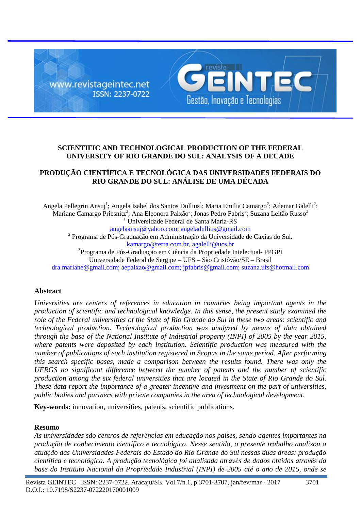

# **SCIENTIFIC AND TECHNOLOGICAL PRODUCTION OF THE FEDERAL UNIVERSITY OF RIO GRANDE DO SUL: ANALYSIS OF A DECADE**

## **PRODUÇÃO CIENTÍFICA E TECNOLÓGICA DAS UNIVERSIDADES FEDERAIS DO RIO GRANDE DO SUL: ANÁLISE DE UMA DÉCADA**

Angela Pellegrin Ansuj<sup>1</sup>; Angela Isabel dos Santos Dullius<sup>1</sup>; Maria Emilia Camargo<sup>2</sup>; Ademar Galelli<sup>2</sup>; Mariane Camargo Priesnitz<sup>3</sup>; Ana Eleonora Paixão<sup>3</sup>; Jonas Pedro Fabris<sup>3</sup>; Suzana Leitão Russo<sup>3</sup> <sup>1</sup> Universidade Federal de Santa Maria-RS [angelaansuj@yahoo.com;](mailto:angelaansuj@yahoo.com) [angeladullius@gmail.com](mailto:angeladullius@gmail.com) <sup>2</sup> Programa de Pós-Graduação em Administração da Universidade de Caxias do Sul. [kamargo@terra.com.br,](mailto:kamargo@terra.com.br) agalelli@ucs.br <sup>3</sup>Programa de Pós-Graduação em Ciência da Propriedade Intelectual- PPGPI Universidade Federal de Sergipe – UFS – São Cristóvão/SE – Brasil

# [dra.mariane@gmail.com;](mailto:gabriel@ufs.br) [aepaixao@gmail.com;](mailto:aepaixao@gmail.com) [jpfabris@gmail.com;](mailto:jpfabris@gmail.com) [suzana.ufs@hotmail.com](mailto:suzana.ufs@hotmail.com)

## **Abstract**

*Universities are centers of references in education in countries being important agents in the production of scientific and technological knowledge. In this sense, the present study examined the role of the Federal universities of the State of Rio Grande do Sul in these two areas: scientific and technological production. Technological production was analyzed by means of data obtained through the base of the National Institute of Industrial property (INPI) of 2005 by the year 2015, where patents were deposited by each institution. Scientific production was measured with the number of publications of each institution registered in Scopus in the same period. After performing this search specific bases, made a comparison between the results found. There was only the UFRGS no significant difference between the number of patents and the number of scientific production among the six federal universities that are located in the State of Rio Grande do Sul. These data report the importance of a greater incentive and investment on the part of universities, public bodies and partners with private companies in the area of technological development.*

**Key-words:** innovation, universities, patents, scientific publications*.*

#### **Resumo**

*As universidades são centros de referências em educação nos países, sendo agentes importantes na produção de conhecimento científico e tecnológico. Nesse sentido, o presente trabalho analisou a atuação das Universidades Federais do Estado do Rio Grande do Sul nessas duas áreas: produção científica e tecnológica. A produção tecnológica foi analisada através de dados obtidos através da base do Instituto Nacional da Propriedade Industrial (INPI) de 2005 até o ano de 2015, onde se*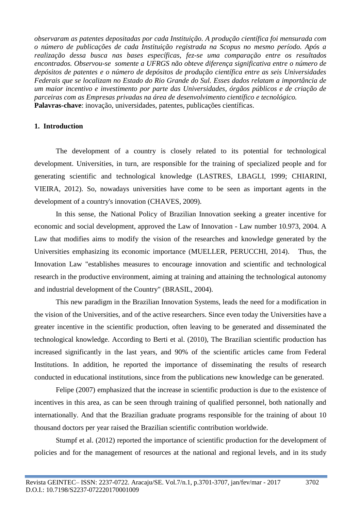*observaram as patentes depositadas por cada Instituição. A produção científica foi mensurada com o número de publicações de cada Instituição registrada na Scopus no mesmo período. Após a realização dessa busca nas bases específicas, fez-se uma comparação entre os resultados encontrados. Observou-se somente a UFRGS não obteve diferença significativa entre o número de depósitos de patentes e o número de depósitos de produção científica entre as seis Universidades Federais que se localizam no Estado do Rio Grande do Sul. Esses dados relatam a importância de um maior incentivo e investimento por parte das Universidades, órgãos públicos e de criação de parceiras com as Empresas privadas na área de desenvolvimento científico e tecnológico.*  **Palavras-chave**: inovação, universidades, patentes, publicações científicas.

### **1. Introduction**

The development of a country is closely related to its potential for technological development. Universities, in turn, are responsible for the training of specialized people and for generating scientific and technological knowledge (LASTRES, LBAGLI, 1999; CHIARINI, VIEIRA, 2012). So, nowadays universities have come to be seen as important agents in the development of a country's innovation (CHAVES, 2009).

In this sense, the National Policy of Brazilian Innovation seeking a greater incentive for economic and social development, approved the Law of Innovation - Law number 10.973, 2004. A Law that modifies aims to modify the vision of the researches and knowledge generated by the Universities emphasizing its economic importance (MUELLER, PERUCCHI, 2014). Thus, the Innovation Law "establishes measures to encourage innovation and scientific and technological research in the productive environment, aiming at training and attaining the technological autonomy and industrial development of the Country" (BRASIL, 2004).

This new paradigm in the Brazilian Innovation Systems, leads the need for a modification in the vision of the Universities, and of the active researchers. Since even today the Universities have a greater incentive in the scientific production, often leaving to be generated and disseminated the technological knowledge. According to Berti et al. (2010), The Brazilian scientific production has increased significantly in the last years, and 90% of the scientific articles came from Federal Institutions. In addition, he reported the importance of disseminating the results of research conducted in educational institutions, since from the publications new knowledge can be generated.

Felipe (2007) emphasized that the increase in scientific production is due to the existence of incentives in this area, as can be seen through training of qualified personnel, both nationally and internationally. And that the Brazilian graduate programs responsible for the training of about 10 thousand doctors per year raised the Brazilian scientific contribution worldwide.

Stumpf et al. (2012) reported the importance of scientific production for the development of policies and for the management of resources at the national and regional levels, and in its study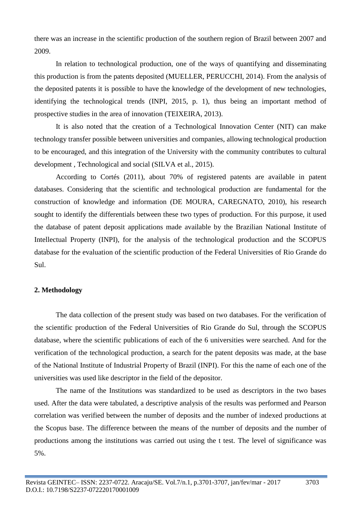there was an increase in the scientific production of the southern region of Brazil between 2007 and 2009.

In relation to technological production, one of the ways of quantifying and disseminating this production is from the patents deposited (MUELLER, PERUCCHI, 2014). From the analysis of the deposited patents it is possible to have the knowledge of the development of new technologies, identifying the technological trends (INPI, 2015, p. 1), thus being an important method of prospective studies in the area of innovation (TEIXEIRA, 2013).

It is also noted that the creation of a Technological Innovation Center (NIT) can make technology transfer possible between universities and companies, allowing technological production to be encouraged, and this integration of the University with the community contributes to cultural development , Technological and social (SILVA et al., 2015).

According to Cortés (2011), about 70% of registered patents are available in patent databases. Considering that the scientific and technological production are fundamental for the construction of knowledge and information (DE MOURA, CAREGNATO, 2010), his research sought to identify the differentials between these two types of production. For this purpose, it used the database of patent deposit applications made available by the Brazilian National Institute of Intellectual Property (INPI), for the analysis of the technological production and the SCOPUS database for the evaluation of the scientific production of the Federal Universities of Rio Grande do Sul.

## **2. Methodology**

The data collection of the present study was based on two databases. For the verification of the scientific production of the Federal Universities of Rio Grande do Sul, through the SCOPUS database, where the scientific publications of each of the 6 universities were searched. And for the verification of the technological production, a search for the patent deposits was made, at the base of the National Institute of Industrial Property of Brazil (INPI). For this the name of each one of the universities was used like descriptor in the field of the depositor.

The name of the Institutions was standardized to be used as descriptors in the two bases used. After the data were tabulated, a descriptive analysis of the results was performed and Pearson correlation was verified between the number of deposits and the number of indexed productions at the Scopus base. The difference between the means of the number of deposits and the number of productions among the institutions was carried out using the t test. The level of significance was 5%.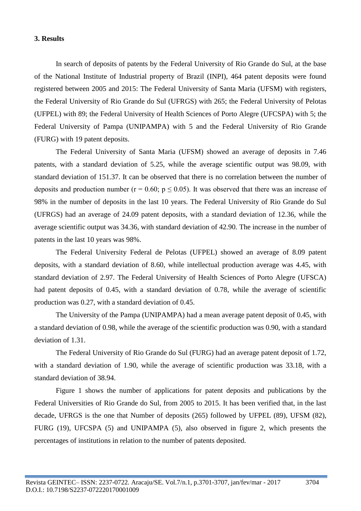#### **3. Results**

In search of deposits of patents by the Federal University of Rio Grande do Sul, at the base of the National Institute of Industrial property of Brazil (INPI), 464 patent deposits were found registered between 2005 and 2015: The Federal University of Santa Maria (UFSM) with registers, the Federal University of Rio Grande do Sul (UFRGS) with 265; the Federal University of Pelotas (UFPEL) with 89; the Federal University of Health Sciences of Porto Alegre (UFCSPA) with 5; the Federal University of Pampa (UNIPAMPA) with 5 and the Federal University of Rio Grande (FURG) with 19 patent deposits.

The Federal University of Santa Maria (UFSM) showed an average of deposits in 7.46 patents, with a standard deviation of 5.25, while the average scientific output was 98.09, with standard deviation of 151.37. It can be observed that there is no correlation between the number of deposits and production number ( $r = 0.60$ ;  $p \le 0.05$ ). It was observed that there was an increase of 98% in the number of deposits in the last 10 years. The Federal University of Rio Grande do Sul (UFRGS) had an average of 24.09 patent deposits, with a standard deviation of 12.36, while the average scientific output was 34.36, with standard deviation of 42.90. The increase in the number of patents in the last 10 years was 98%.

The Federal University Federal de Pelotas (UFPEL) showed an average of 8.09 patent deposits, with a standard deviation of 8.60, while intellectual production average was 4.45, with standard deviation of 2.97. The Federal University of Health Sciences of Porto Alegre (UFSCA) had patent deposits of 0.45, with a standard deviation of 0.78, while the average of scientific production was 0.27, with a standard deviation of 0.45.

The University of the Pampa (UNIPAMPA) had a mean average patent deposit of 0.45, with a standard deviation of 0.98, while the average of the scientific production was 0.90, with a standard deviation of 1.31.

The Federal University of Rio Grande do Sul (FURG) had an average patent deposit of 1.72, with a standard deviation of 1.90, while the average of scientific production was 33.18, with a standard deviation of 38.94.

Figure 1 shows the number of applications for patent deposits and publications by the Federal Universities of Rio Grande do Sul, from 2005 to 2015. It has been verified that, in the last decade, UFRGS is the one that Number of deposits (265) followed by UFPEL (89), UFSM (82), FURG (19), UFCSPA (5) and UNIPAMPA (5), also observed in figure 2, which presents the percentages of institutions in relation to the number of patents deposited.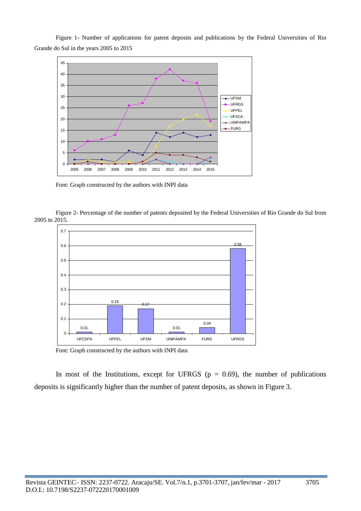Figure 1- Number of applications for patent deposits and publications by the Federal Universities of Rio Grande do Sul in the years 2005 to 2015



Font: Graph constructed by the authors with INPI data

Figure 2- Percentage of the number of patents deposited by the Federal Universities of Rio Grande do Sul from 2005 to 2015.



Font: Graph constructed by the authors with INPI data

In most of the Institutions, except for UFRGS ( $p = 0.69$ ), the number of publications deposits is significantly higher than the number of patent deposits, as shown in Figure 3.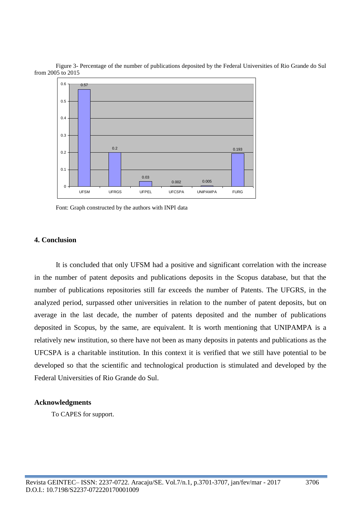



Font: Graph constructed by the authors with INPI data

#### **4. Conclusion**

It is concluded that only UFSM had a positive and significant correlation with the increase in the number of patent deposits and publications deposits in the Scopus database, but that the number of publications repositories still far exceeds the number of Patents. The UFGRS, in the analyzed period, surpassed other universities in relation to the number of patent deposits, but on average in the last decade, the number of patents deposited and the number of publications deposited in Scopus, by the same, are equivalent. It is worth mentioning that UNIPAMPA is a relatively new institution, so there have not been as many deposits in patents and publications as the UFCSPA is a charitable institution. In this context it is verified that we still have potential to be developed so that the scientific and technological production is stimulated and developed by the Federal Universities of Rio Grande do Sul.

#### **Acknowledgments**

To CAPES for support.